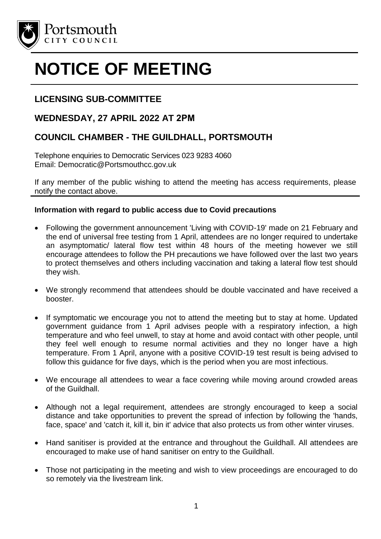

# **NOTICE OF MEETING**

## **LICENSING SUB-COMMITTEE**

### **WEDNESDAY, 27 APRIL 2022 AT 2PM**

## **COUNCIL CHAMBER - THE GUILDHALL, PORTSMOUTH**

Telephone enquiries to Democratic Services 023 9283 4060 Email: Democratic@Portsmouthcc.gov.uk

If any member of the public wishing to attend the meeting has access requirements, please notify the contact above.

#### **Information with regard to public access due to Covid precautions**

- Following the government announcement 'Living with COVID-19' made on 21 February and the end of universal free testing from 1 April, attendees are no longer required to undertake an asymptomatic/ lateral flow test within 48 hours of the meeting however we still encourage attendees to follow the PH precautions we have followed over the last two years to protect themselves and others including vaccination and taking a lateral flow test should they wish.
- We strongly recommend that attendees should be double vaccinated and have received a booster.
- If symptomatic we encourage you not to attend the meeting but to stay at home. Updated government guidance from 1 April advises people with a respiratory infection, a high temperature and who feel unwell, to stay at home and avoid contact with other people, until they feel well enough to resume normal activities and they no longer have a high temperature. From 1 April, anyone with a positive COVID-19 test result is being advised to follow this guidance for five days, which is the period when you are most infectious.
- We encourage all attendees to wear a face covering while moving around crowded areas of the Guildhall.
- Although not a legal requirement, attendees are strongly encouraged to keep a social distance and take opportunities to prevent the spread of infection by following the 'hands, face, space' and 'catch it, kill it, bin it' advice that also protects us from other winter viruses.
- Hand sanitiser is provided at the entrance and throughout the Guildhall. All attendees are encouraged to make use of hand sanitiser on entry to the Guildhall.
- Those not participating in the meeting and wish to view proceedings are encouraged to do so remotely via the livestream link.